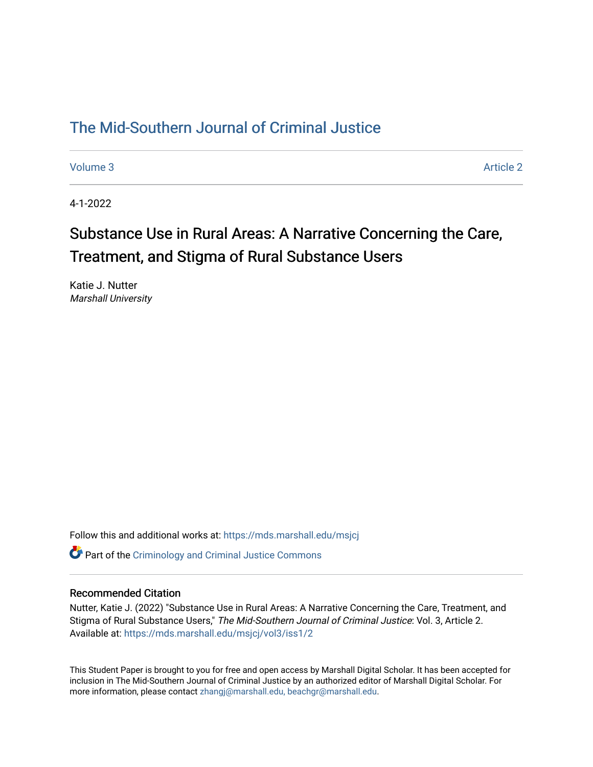### [The Mid-Southern Journal of Criminal Justice](https://mds.marshall.edu/msjcj)

[Volume 3](https://mds.marshall.edu/msjcj/vol3) Article 2

4-1-2022

# Substance Use in Rural Areas: A Narrative Concerning the Care, Treatment, and Stigma of Rural Substance Users

Katie J. Nutter Marshall University

Follow this and additional works at: [https://mds.marshall.edu/msjcj](https://mds.marshall.edu/msjcj?utm_source=mds.marshall.edu%2Fmsjcj%2Fvol3%2Fiss1%2F2&utm_medium=PDF&utm_campaign=PDFCoverPages)

**C** Part of the [Criminology and Criminal Justice Commons](http://network.bepress.com/hgg/discipline/367?utm_source=mds.marshall.edu%2Fmsjcj%2Fvol3%2Fiss1%2F2&utm_medium=PDF&utm_campaign=PDFCoverPages)

### Recommended Citation

Nutter, Katie J. (2022) "Substance Use in Rural Areas: A Narrative Concerning the Care, Treatment, and Stigma of Rural Substance Users," The Mid-Southern Journal of Criminal Justice: Vol. 3, Article 2. Available at: [https://mds.marshall.edu/msjcj/vol3/iss1/2](https://mds.marshall.edu/msjcj/vol3/iss1/2?utm_source=mds.marshall.edu%2Fmsjcj%2Fvol3%2Fiss1%2F2&utm_medium=PDF&utm_campaign=PDFCoverPages)

This Student Paper is brought to you for free and open access by Marshall Digital Scholar. It has been accepted for inclusion in The Mid-Southern Journal of Criminal Justice by an authorized editor of Marshall Digital Scholar. For more information, please contact [zhangj@marshall.edu, beachgr@marshall.edu](mailto:zhangj@marshall.edu,%20beachgr@marshall.edu).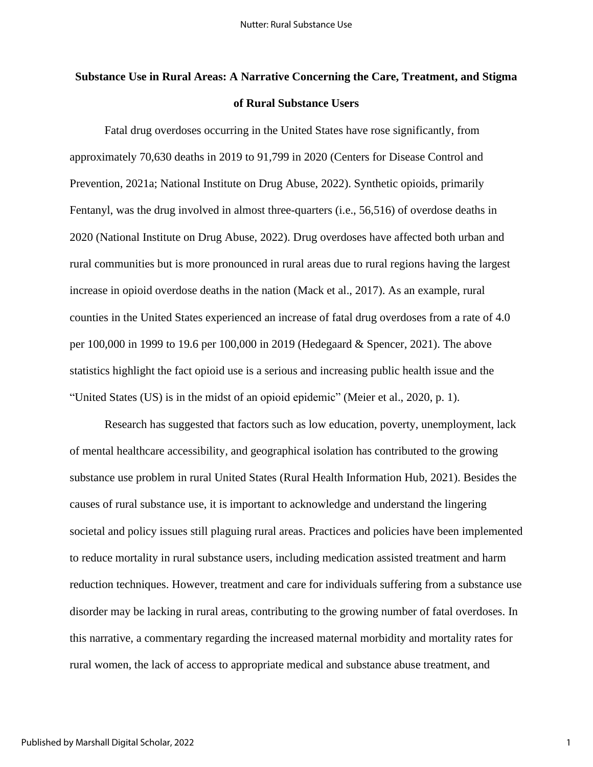## **Substance Use in Rural Areas: A Narrative Concerning the Care, Treatment, and Stigma of Rural Substance Users**

Fatal drug overdoses occurring in the United States have rose significantly, from approximately 70,630 deaths in 2019 to 91,799 in 2020 (Centers for Disease Control and Prevention, 2021a; National Institute on Drug Abuse, 2022). Synthetic opioids, primarily Fentanyl, was the drug involved in almost three-quarters (i.e., 56,516) of overdose deaths in 2020 (National Institute on Drug Abuse, 2022). Drug overdoses have affected both urban and rural communities but is more pronounced in rural areas due to rural regions having the largest increase in opioid overdose deaths in the nation (Mack et al., 2017). As an example, rural counties in the United States experienced an increase of fatal drug overdoses from a rate of 4.0 per 100,000 in 1999 to 19.6 per 100,000 in 2019 (Hedegaard & Spencer, 2021). The above statistics highlight the fact opioid use is a serious and increasing public health issue and the "United States (US) is in the midst of an opioid epidemic" (Meier et al., 2020, p. 1).

Research has suggested that factors such as low education, poverty, unemployment, lack of mental healthcare accessibility, and geographical isolation has contributed to the growing substance use problem in rural United States (Rural Health Information Hub, 2021). Besides the causes of rural substance use, it is important to acknowledge and understand the lingering societal and policy issues still plaguing rural areas. Practices and policies have been implemented to reduce mortality in rural substance users, including medication assisted treatment and harm reduction techniques. However, treatment and care for individuals suffering from a substance use disorder may be lacking in rural areas, contributing to the growing number of fatal overdoses. In this narrative, a commentary regarding the increased maternal morbidity and mortality rates for rural women, the lack of access to appropriate medical and substance abuse treatment, and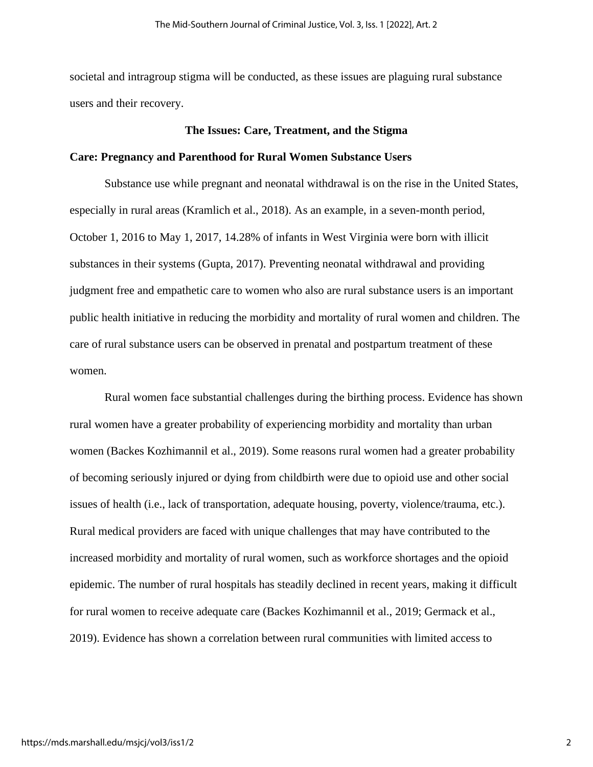societal and intragroup stigma will be conducted, as these issues are plaguing rural substance users and their recovery.

### **The Issues: Care, Treatment, and the Stigma**

### **Care: Pregnancy and Parenthood for Rural Women Substance Users**

Substance use while pregnant and neonatal withdrawal is on the rise in the United States, especially in rural areas (Kramlich et al., 2018). As an example, in a seven-month period, October 1, 2016 to May 1, 2017, 14.28% of infants in West Virginia were born with illicit substances in their systems (Gupta, 2017). Preventing neonatal withdrawal and providing judgment free and empathetic care to women who also are rural substance users is an important public health initiative in reducing the morbidity and mortality of rural women and children. The care of rural substance users can be observed in prenatal and postpartum treatment of these women.

Rural women face substantial challenges during the birthing process. Evidence has shown rural women have a greater probability of experiencing morbidity and mortality than urban women (Backes Kozhimannil et al., 2019). Some reasons rural women had a greater probability of becoming seriously injured or dying from childbirth were due to opioid use and other social issues of health (i.e., lack of transportation, adequate housing, poverty, violence/trauma, etc.). Rural medical providers are faced with unique challenges that may have contributed to the increased morbidity and mortality of rural women, such as workforce shortages and the opioid epidemic. The number of rural hospitals has steadily declined in recent years, making it difficult for rural women to receive adequate care (Backes Kozhimannil et al., 2019; Germack et al., 2019). Evidence has shown a correlation between rural communities with limited access to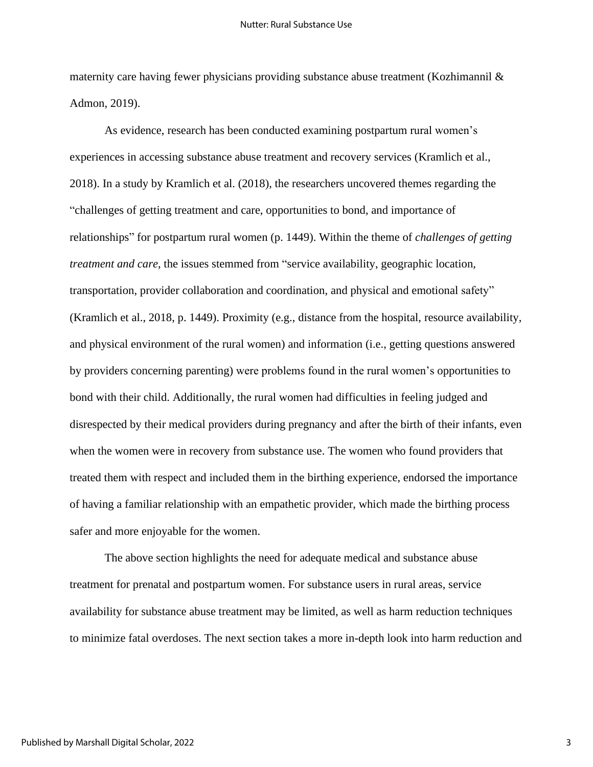maternity care having fewer physicians providing substance abuse treatment (Kozhimannil & Admon, 2019).

As evidence, research has been conducted examining postpartum rural women's experiences in accessing substance abuse treatment and recovery services (Kramlich et al., 2018). In a study by Kramlich et al. (2018), the researchers uncovered themes regarding the "challenges of getting treatment and care, opportunities to bond, and importance of relationships" for postpartum rural women (p. 1449). Within the theme of *challenges of getting treatment and care*, the issues stemmed from "service availability, geographic location, transportation, provider collaboration and coordination, and physical and emotional safety" (Kramlich et al., 2018, p. 1449). Proximity (e.g., distance from the hospital, resource availability, and physical environment of the rural women) and information (i.e., getting questions answered by providers concerning parenting) were problems found in the rural women's opportunities to bond with their child. Additionally, the rural women had difficulties in feeling judged and disrespected by their medical providers during pregnancy and after the birth of their infants, even when the women were in recovery from substance use. The women who found providers that treated them with respect and included them in the birthing experience, endorsed the importance of having a familiar relationship with an empathetic provider, which made the birthing process safer and more enjoyable for the women.

The above section highlights the need for adequate medical and substance abuse treatment for prenatal and postpartum women. For substance users in rural areas, service availability for substance abuse treatment may be limited, as well as harm reduction techniques to minimize fatal overdoses. The next section takes a more in-depth look into harm reduction and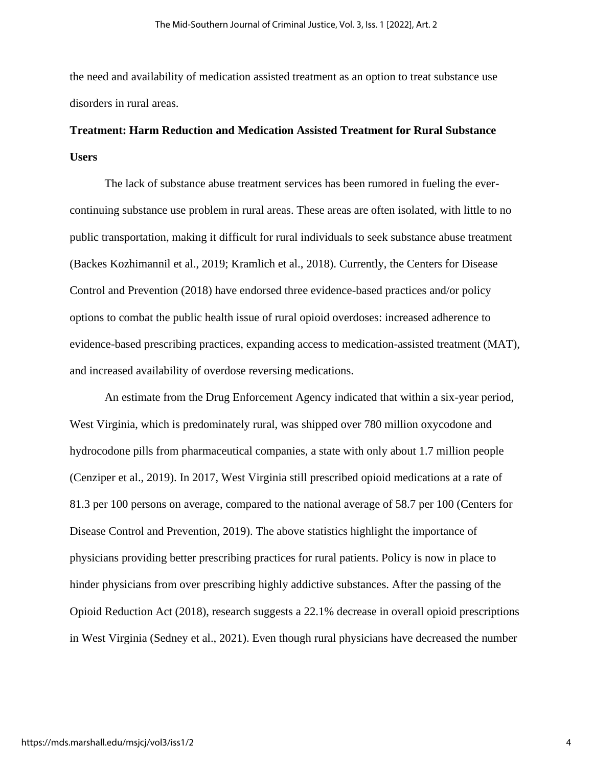the need and availability of medication assisted treatment as an option to treat substance use disorders in rural areas.

### **Treatment: Harm Reduction and Medication Assisted Treatment for Rural Substance Users**

The lack of substance abuse treatment services has been rumored in fueling the evercontinuing substance use problem in rural areas. These areas are often isolated, with little to no public transportation, making it difficult for rural individuals to seek substance abuse treatment (Backes Kozhimannil et al., 2019; Kramlich et al., 2018). Currently, the Centers for Disease Control and Prevention (2018) have endorsed three evidence-based practices and/or policy options to combat the public health issue of rural opioid overdoses: increased adherence to evidence-based prescribing practices, expanding access to medication-assisted treatment (MAT), and increased availability of overdose reversing medications.

An estimate from the Drug Enforcement Agency indicated that within a six-year period, West Virginia, which is predominately rural, was shipped over 780 million oxycodone and hydrocodone pills from pharmaceutical companies, a state with only about 1.7 million people (Cenziper et al., 2019). In 2017, West Virginia still prescribed opioid medications at a rate of 81.3 per 100 persons on average, compared to the national average of 58.7 per 100 (Centers for Disease Control and Prevention, 2019). The above statistics highlight the importance of physicians providing better prescribing practices for rural patients. Policy is now in place to hinder physicians from over prescribing highly addictive substances. After the passing of the Opioid Reduction Act (2018), research suggests a 22.1% decrease in overall opioid prescriptions in West Virginia (Sedney et al., 2021). Even though rural physicians have decreased the number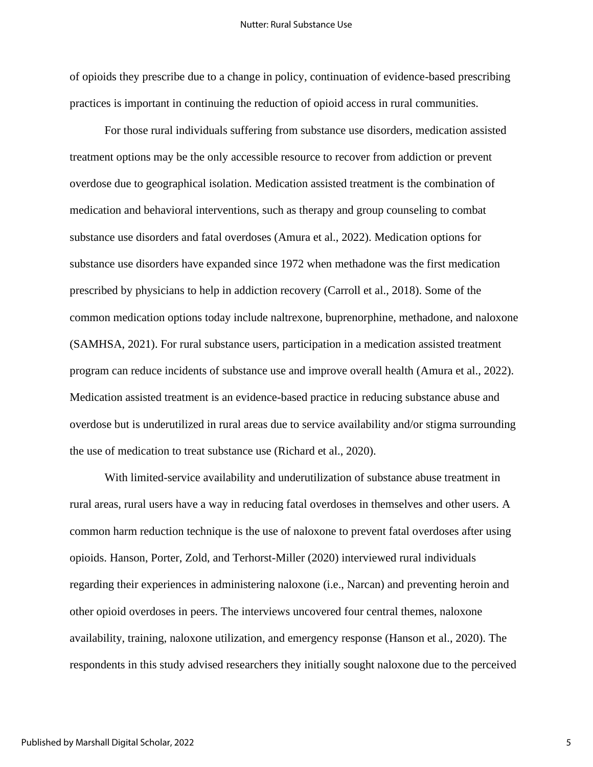of opioids they prescribe due to a change in policy, continuation of evidence-based prescribing practices is important in continuing the reduction of opioid access in rural communities.

For those rural individuals suffering from substance use disorders, medication assisted treatment options may be the only accessible resource to recover from addiction or prevent overdose due to geographical isolation. Medication assisted treatment is the combination of medication and behavioral interventions, such as therapy and group counseling to combat substance use disorders and fatal overdoses (Amura et al., 2022). Medication options for substance use disorders have expanded since 1972 when methadone was the first medication prescribed by physicians to help in addiction recovery (Carroll et al., 2018). Some of the common medication options today include naltrexone, buprenorphine, methadone, and naloxone (SAMHSA, 2021). For rural substance users, participation in a medication assisted treatment program can reduce incidents of substance use and improve overall health (Amura et al., 2022). Medication assisted treatment is an evidence-based practice in reducing substance abuse and overdose but is underutilized in rural areas due to service availability and/or stigma surrounding the use of medication to treat substance use (Richard et al., 2020).

With limited-service availability and underutilization of substance abuse treatment in rural areas, rural users have a way in reducing fatal overdoses in themselves and other users. A common harm reduction technique is the use of naloxone to prevent fatal overdoses after using opioids. Hanson, Porter, Zold, and Terhorst-Miller (2020) interviewed rural individuals regarding their experiences in administering naloxone (i.e., Narcan) and preventing heroin and other opioid overdoses in peers. The interviews uncovered four central themes, naloxone availability, training, naloxone utilization, and emergency response (Hanson et al., 2020). The respondents in this study advised researchers they initially sought naloxone due to the perceived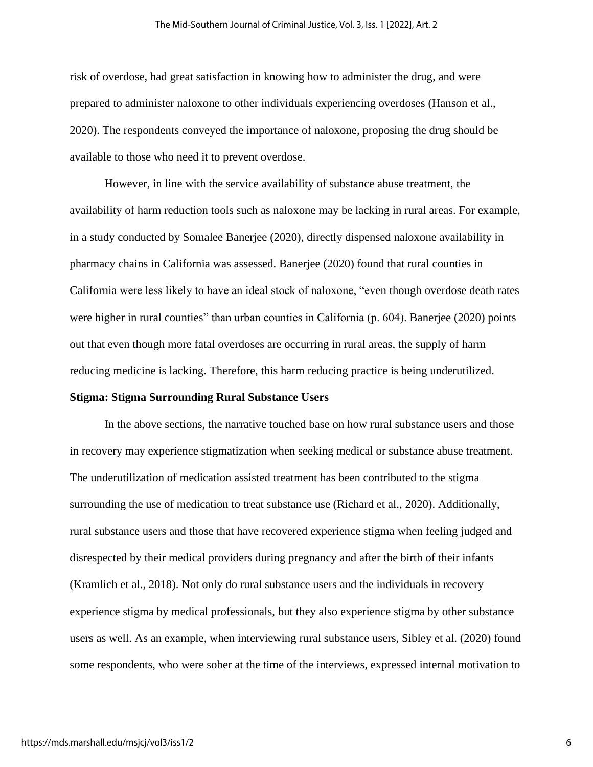risk of overdose, had great satisfaction in knowing how to administer the drug, and were prepared to administer naloxone to other individuals experiencing overdoses (Hanson et al., 2020). The respondents conveyed the importance of naloxone, proposing the drug should be available to those who need it to prevent overdose.

However, in line with the service availability of substance abuse treatment, the availability of harm reduction tools such as naloxone may be lacking in rural areas. For example, in a study conducted by Somalee Banerjee (2020), directly dispensed naloxone availability in pharmacy chains in California was assessed. Banerjee (2020) found that rural counties in California were less likely to have an ideal stock of naloxone, "even though overdose death rates were higher in rural counties" than urban counties in California (p. 604). Banerjee (2020) points out that even though more fatal overdoses are occurring in rural areas, the supply of harm reducing medicine is lacking. Therefore, this harm reducing practice is being underutilized.

### **Stigma: Stigma Surrounding Rural Substance Users**

In the above sections, the narrative touched base on how rural substance users and those in recovery may experience stigmatization when seeking medical or substance abuse treatment. The underutilization of medication assisted treatment has been contributed to the stigma surrounding the use of medication to treat substance use (Richard et al., 2020). Additionally, rural substance users and those that have recovered experience stigma when feeling judged and disrespected by their medical providers during pregnancy and after the birth of their infants (Kramlich et al., 2018). Not only do rural substance users and the individuals in recovery experience stigma by medical professionals, but they also experience stigma by other substance users as well. As an example, when interviewing rural substance users, Sibley et al. (2020) found some respondents, who were sober at the time of the interviews, expressed internal motivation to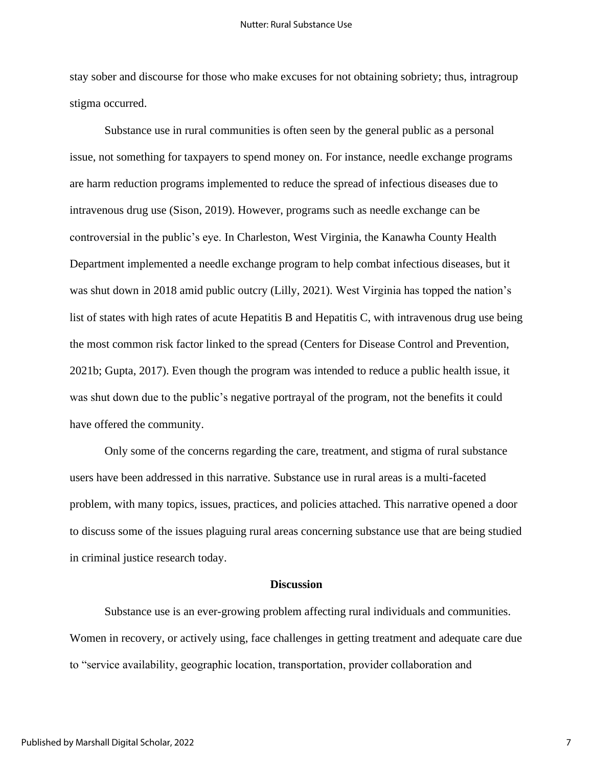stay sober and discourse for those who make excuses for not obtaining sobriety; thus, intragroup stigma occurred.

Substance use in rural communities is often seen by the general public as a personal issue, not something for taxpayers to spend money on. For instance, needle exchange programs are harm reduction programs implemented to reduce the spread of infectious diseases due to intravenous drug use (Sison, 2019). However, programs such as needle exchange can be controversial in the public's eye. In Charleston, West Virginia, the Kanawha County Health Department implemented a needle exchange program to help combat infectious diseases, but it was shut down in 2018 amid public outcry (Lilly, 2021). West Virginia has topped the nation's list of states with high rates of acute Hepatitis B and Hepatitis C, with intravenous drug use being the most common risk factor linked to the spread (Centers for Disease Control and Prevention, 2021b; Gupta, 2017). Even though the program was intended to reduce a public health issue, it was shut down due to the public's negative portrayal of the program, not the benefits it could have offered the community.

Only some of the concerns regarding the care, treatment, and stigma of rural substance users have been addressed in this narrative. Substance use in rural areas is a multi-faceted problem, with many topics, issues, practices, and policies attached. This narrative opened a door to discuss some of the issues plaguing rural areas concerning substance use that are being studied in criminal justice research today.

### **Discussion**

Substance use is an ever-growing problem affecting rural individuals and communities. Women in recovery, or actively using, face challenges in getting treatment and adequate care due to "service availability, geographic location, transportation, provider collaboration and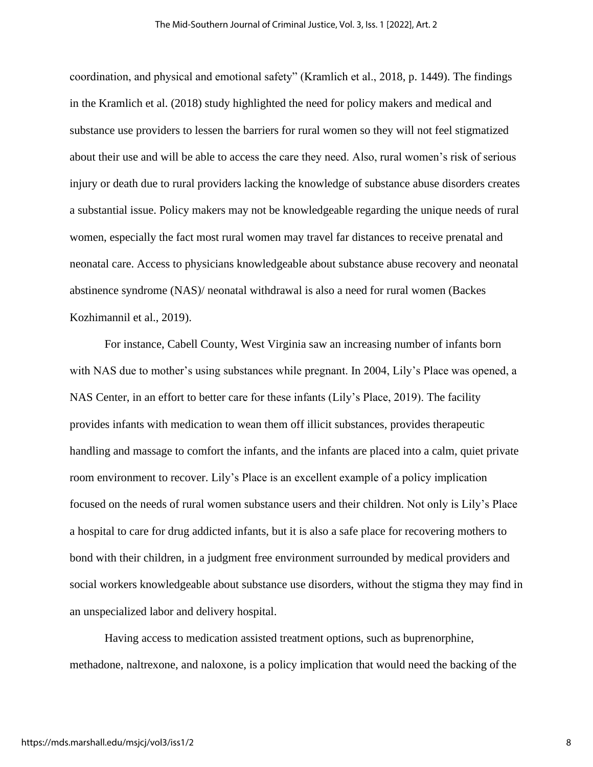coordination, and physical and emotional safety" (Kramlich et al., 2018, p. 1449). The findings in the Kramlich et al. (2018) study highlighted the need for policy makers and medical and substance use providers to lessen the barriers for rural women so they will not feel stigmatized about their use and will be able to access the care they need. Also, rural women's risk of serious injury or death due to rural providers lacking the knowledge of substance abuse disorders creates a substantial issue. Policy makers may not be knowledgeable regarding the unique needs of rural women, especially the fact most rural women may travel far distances to receive prenatal and neonatal care. Access to physicians knowledgeable about substance abuse recovery and neonatal abstinence syndrome (NAS)/ neonatal withdrawal is also a need for rural women (Backes Kozhimannil et al., 2019).

For instance, Cabell County, West Virginia saw an increasing number of infants born with NAS due to mother's using substances while pregnant. In 2004, Lily's Place was opened, a NAS Center, in an effort to better care for these infants (Lily's Place, 2019). The facility provides infants with medication to wean them off illicit substances, provides therapeutic handling and massage to comfort the infants, and the infants are placed into a calm, quiet private room environment to recover. Lily's Place is an excellent example of a policy implication focused on the needs of rural women substance users and their children. Not only is Lily's Place a hospital to care for drug addicted infants, but it is also a safe place for recovering mothers to bond with their children, in a judgment free environment surrounded by medical providers and social workers knowledgeable about substance use disorders, without the stigma they may find in an unspecialized labor and delivery hospital.

Having access to medication assisted treatment options, such as buprenorphine, methadone, naltrexone, and naloxone, is a policy implication that would need the backing of the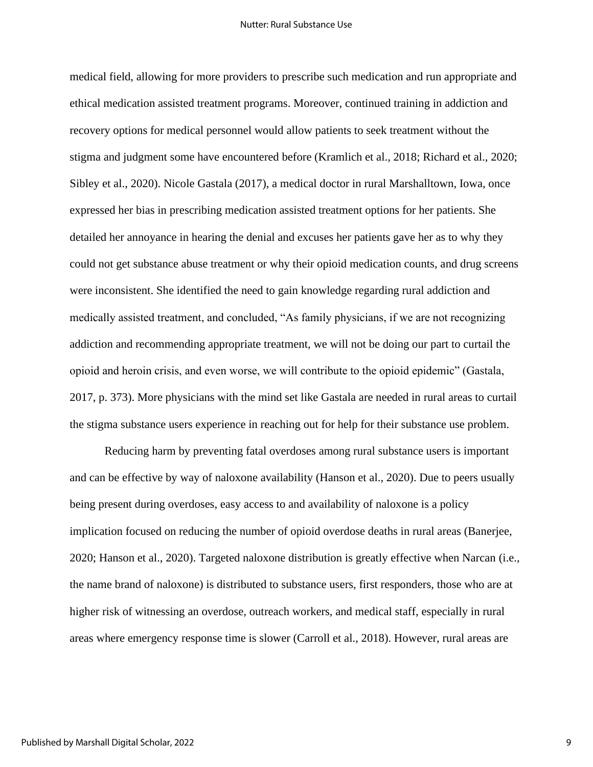medical field, allowing for more providers to prescribe such medication and run appropriate and ethical medication assisted treatment programs. Moreover, continued training in addiction and recovery options for medical personnel would allow patients to seek treatment without the stigma and judgment some have encountered before (Kramlich et al., 2018; Richard et al., 2020; Sibley et al., 2020). Nicole Gastala (2017), a medical doctor in rural Marshalltown, Iowa, once expressed her bias in prescribing medication assisted treatment options for her patients. She detailed her annoyance in hearing the denial and excuses her patients gave her as to why they could not get substance abuse treatment or why their opioid medication counts, and drug screens were inconsistent. She identified the need to gain knowledge regarding rural addiction and medically assisted treatment, and concluded, "As family physicians, if we are not recognizing addiction and recommending appropriate treatment, we will not be doing our part to curtail the opioid and heroin crisis, and even worse, we will contribute to the opioid epidemic" (Gastala, 2017, p. 373). More physicians with the mind set like Gastala are needed in rural areas to curtail the stigma substance users experience in reaching out for help for their substance use problem.

Reducing harm by preventing fatal overdoses among rural substance users is important and can be effective by way of naloxone availability (Hanson et al., 2020). Due to peers usually being present during overdoses, easy access to and availability of naloxone is a policy implication focused on reducing the number of opioid overdose deaths in rural areas (Banerjee, 2020; Hanson et al., 2020). Targeted naloxone distribution is greatly effective when Narcan (i.e., the name brand of naloxone) is distributed to substance users, first responders, those who are at higher risk of witnessing an overdose, outreach workers, and medical staff, especially in rural areas where emergency response time is slower (Carroll et al., 2018). However, rural areas are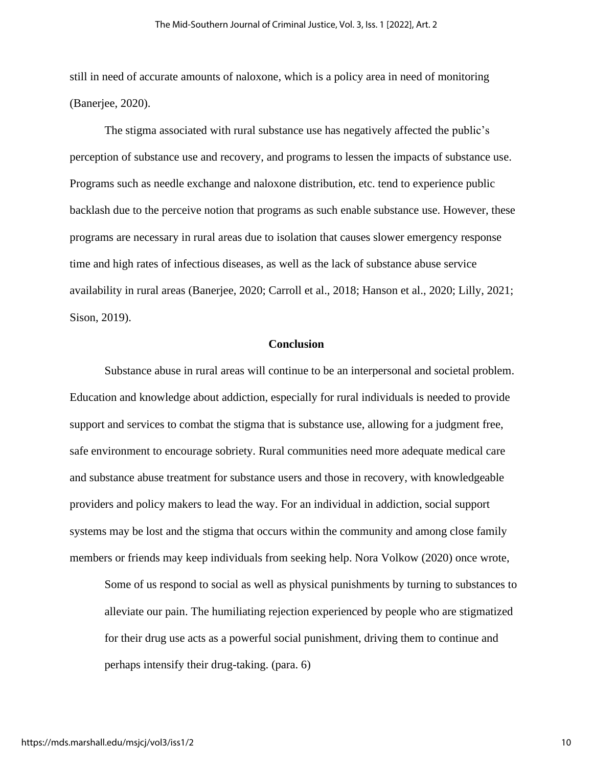still in need of accurate amounts of naloxone, which is a policy area in need of monitoring (Banerjee, 2020).

The stigma associated with rural substance use has negatively affected the public's perception of substance use and recovery, and programs to lessen the impacts of substance use. Programs such as needle exchange and naloxone distribution, etc. tend to experience public backlash due to the perceive notion that programs as such enable substance use. However, these programs are necessary in rural areas due to isolation that causes slower emergency response time and high rates of infectious diseases, as well as the lack of substance abuse service availability in rural areas (Banerjee, 2020; Carroll et al., 2018; Hanson et al., 2020; Lilly, 2021; Sison, 2019).

### **Conclusion**

Substance abuse in rural areas will continue to be an interpersonal and societal problem. Education and knowledge about addiction, especially for rural individuals is needed to provide support and services to combat the stigma that is substance use, allowing for a judgment free, safe environment to encourage sobriety. Rural communities need more adequate medical care and substance abuse treatment for substance users and those in recovery, with knowledgeable providers and policy makers to lead the way. For an individual in addiction, social support systems may be lost and the stigma that occurs within the community and among close family members or friends may keep individuals from seeking help. Nora Volkow (2020) once wrote,

Some of us respond to social as well as physical punishments by turning to substances to alleviate our pain. The humiliating rejection experienced by people who are stigmatized for their drug use acts as a powerful social punishment, driving them to continue and perhaps intensify their drug-taking. (para. 6)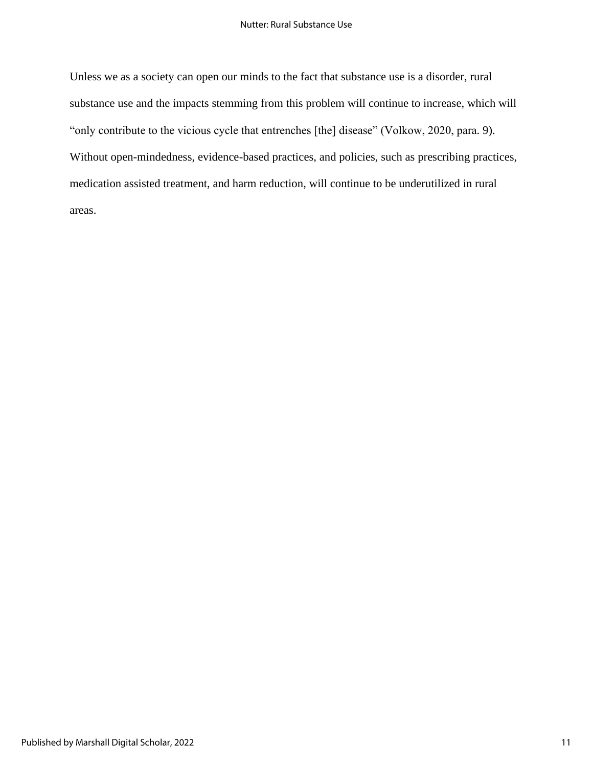Unless we as a society can open our minds to the fact that substance use is a disorder, rural substance use and the impacts stemming from this problem will continue to increase, which will "only contribute to the vicious cycle that entrenches [the] disease" (Volkow, 2020, para. 9). Without open-mindedness, evidence-based practices, and policies, such as prescribing practices, medication assisted treatment, and harm reduction, will continue to be underutilized in rural areas.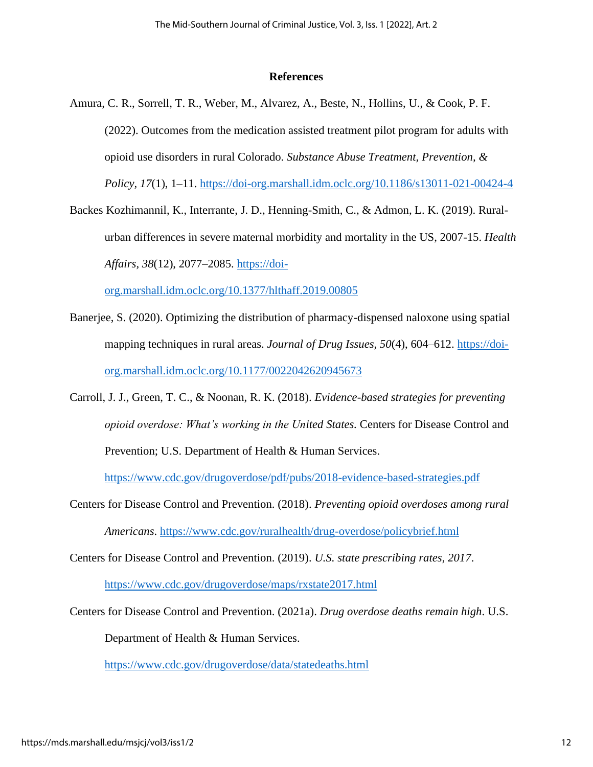### **References**

- Amura, C. R., Sorrell, T. R., Weber, M., Alvarez, A., Beste, N., Hollins, U., & Cook, P. F. (2022). Outcomes from the medication assisted treatment pilot program for adults with opioid use disorders in rural Colorado. *Substance Abuse Treatment, Prevention, & Policy, 17*(1), 1–11.<https://doi-org.marshall.idm.oclc.org/10.1186/s13011-021-00424-4>
- Backes Kozhimannil, K., Interrante, J. D., Henning-Smith, C., & Admon, L. K. (2019). Ruralurban differences in severe maternal morbidity and mortality in the US, 2007-15. *Health Affairs, 38*(12), 2077–2085. [https://doi-](https://doi-org.marshall.idm.oclc.org/10.1377/hlthaff.2019.00805)

[org.marshall.idm.oclc.org/10.1377/hlthaff.2019.00805](https://doi-org.marshall.idm.oclc.org/10.1377/hlthaff.2019.00805)

- Banerjee, S. (2020). Optimizing the distribution of pharmacy-dispensed naloxone using spatial mapping techniques in rural areas. *Journal of Drug Issues, 50*(4), 604–612. [https://doi](https://doi-org.marshall.idm.oclc.org/10.1177/0022042620945673)[org.marshall.idm.oclc.org/10.1177/0022042620945673](https://doi-org.marshall.idm.oclc.org/10.1177/0022042620945673)
- Carroll, J. J., Green, T. C., & Noonan, R. K. (2018). *Evidence-based strategies for preventing opioid overdose: What's working in the United States.* Centers for Disease Control and Prevention; U.S. Department of Health & Human Services.

<https://www.cdc.gov/drugoverdose/pdf/pubs/2018-evidence-based-strategies.pdf>

Centers for Disease Control and Prevention. (2018). *Preventing opioid overdoses among rural Americans*.<https://www.cdc.gov/ruralhealth/drug-overdose/policybrief.html>

Centers for Disease Control and Prevention. (2019). *U.S. state prescribing rates, 2017*.

<https://www.cdc.gov/drugoverdose/maps/rxstate2017.html>

Centers for Disease Control and Prevention. (2021a). *Drug overdose deaths remain high*. U.S.

Department of Health & Human Services.

<https://www.cdc.gov/drugoverdose/data/statedeaths.html>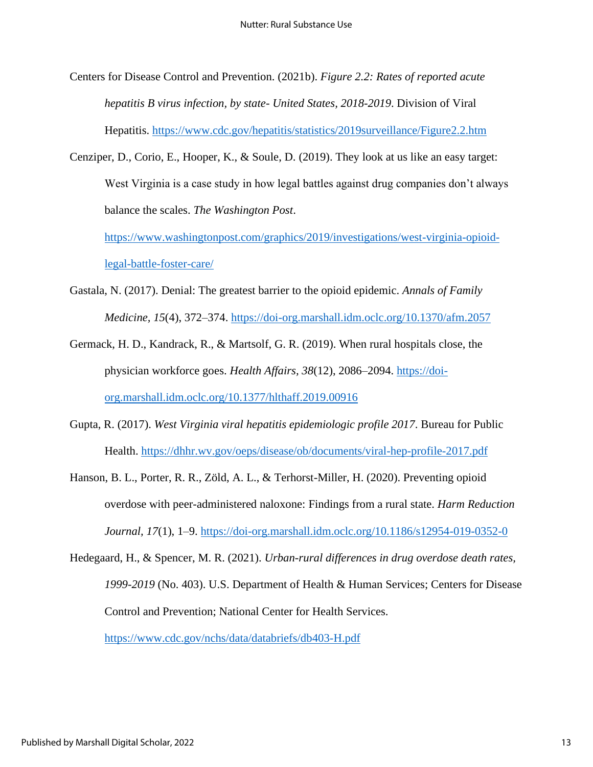- Centers for Disease Control and Prevention. (2021b). *Figure 2.2: Rates of reported acute hepatitis B virus infection, by state- United States, 2018-2019*. Division of Viral Hepatitis.<https://www.cdc.gov/hepatitis/statistics/2019surveillance/Figure2.2.htm>
- Cenziper, D., Corio, E., Hooper, K., & Soule, D. (2019). They look at us like an easy target: West Virginia is a case study in how legal battles against drug companies don't always balance the scales. *The Washington Post*.

[https://www.washingtonpost.com/graphics/2019/investigations/west-virginia-opioid](https://www.washingtonpost.com/graphics/2019/investigations/west-virginia-opioid-legal-battle-foster-care/)[legal-battle-foster-care/](https://www.washingtonpost.com/graphics/2019/investigations/west-virginia-opioid-legal-battle-foster-care/)

- Gastala, N. (2017). Denial: The greatest barrier to the opioid epidemic. *Annals of Family Medicine, 15*(4), 372–374.<https://doi-org.marshall.idm.oclc.org/10.1370/afm.2057>
- Germack, H. D., Kandrack, R., & Martsolf, G. R. (2019). When rural hospitals close, the physician workforce goes. *Health Affairs, 38*(12), 2086–2094. [https://doi](https://doi-org.marshall.idm.oclc.org/10.1377/hlthaff.2019.00916)[org.marshall.idm.oclc.org/10.1377/hlthaff.2019.00916](https://doi-org.marshall.idm.oclc.org/10.1377/hlthaff.2019.00916)
- Gupta, R. (2017). *West Virginia viral hepatitis epidemiologic profile 2017*. Bureau for Public Health.<https://dhhr.wv.gov/oeps/disease/ob/documents/viral-hep-profile-2017.pdf>
- Hanson, B. L., Porter, R. R., Zöld, A. L., & Terhorst-Miller, H. (2020). Preventing opioid overdose with peer-administered naloxone: Findings from a rural state. *Harm Reduction Journal, 17*(1), 1–9.<https://doi-org.marshall.idm.oclc.org/10.1186/s12954-019-0352-0>

Hedegaard, H., & Spencer, M. R. (2021). *Urban-rural differences in drug overdose death rates, 1999-2019* (No. 403). U.S. Department of Health & Human Services; Centers for Disease Control and Prevention; National Center for Health Services. <https://www.cdc.gov/nchs/data/databriefs/db403-H.pdf>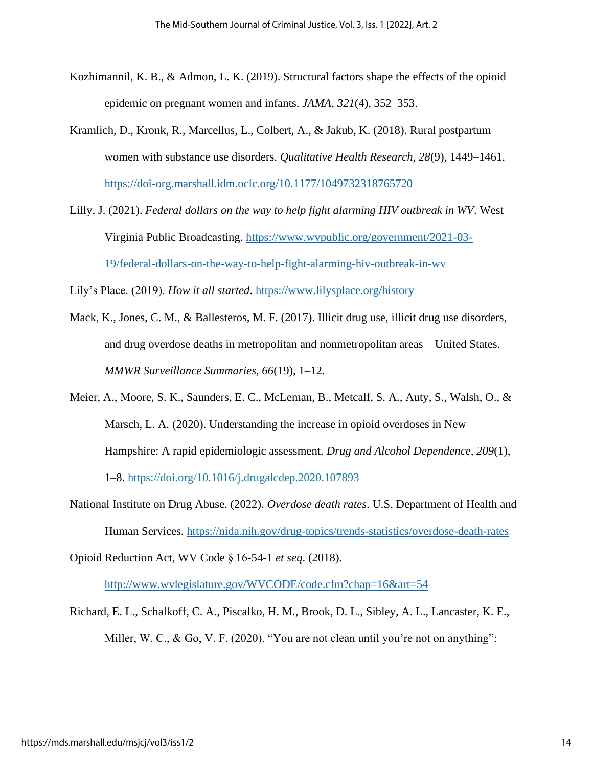- Kozhimannil, K. B., & Admon, L. K. (2019). Structural factors shape the effects of the opioid epidemic on pregnant women and infants. *JAMA, 321*(4), 352–353.
- Kramlich, D., Kronk, R., Marcellus, L., Colbert, A., & Jakub, K. (2018). Rural postpartum women with substance use disorders. *Qualitative Health Research, 28*(9), 1449–1461. <https://doi-org.marshall.idm.oclc.org/10.1177/1049732318765720>
- Lilly, J. (2021). *Federal dollars on the way to help fight alarming HIV outbreak in WV*. West Virginia Public Broadcasting. [https://www.wvpublic.org/government/2021-03-](https://www.wvpublic.org/government/2021-03-19/federal-dollars-on-the-way-to-help-fight-alarming-hiv-outbreak-in-wv) [19/federal-dollars-on-the-way-to-help-fight-alarming-hiv-outbreak-in-wv](https://www.wvpublic.org/government/2021-03-19/federal-dollars-on-the-way-to-help-fight-alarming-hiv-outbreak-in-wv)

Lily's Place. (2019). *How it all started*.<https://www.lilysplace.org/history>

- Mack, K., Jones, C. M., & Ballesteros, M. F. (2017). Illicit drug use, illicit drug use disorders, and drug overdose deaths in metropolitan and nonmetropolitan areas – United States. *MMWR Surveillance Summaries, 66*(19), 1–12.
- Meier, A., Moore, S. K., Saunders, E. C., McLeman, B., Metcalf, S. A., Auty, S., Walsh, O., & Marsch, L. A. (2020). Understanding the increase in opioid overdoses in New Hampshire: A rapid epidemiologic assessment. *Drug and Alcohol Dependence, 209*(1),

1–8. [https://doi.org/10.1016/j.drugalcdep.2020.107893](https://doi-org.marshall.idm.oclc.org/10.1016/j.drugalcdep.2020.107893)

National Institute on Drug Abuse. (2022). *Overdose death rates*. U.S. Department of Health and Human Services. <https://nida.nih.gov/drug-topics/trends-statistics/overdose-death-rates>

Opioid Reduction Act, WV Code § 16-54-1 *et seq*. (2018).

<http://www.wvlegislature.gov/WVCODE/code.cfm?chap=16&art=54>

Richard, E. L., Schalkoff, C. A., Piscalko, H. M., Brook, D. L., Sibley, A. L., Lancaster, K. E., Miller, W. C., & Go, V. F. (2020). "You are not clean until you're not on anything":